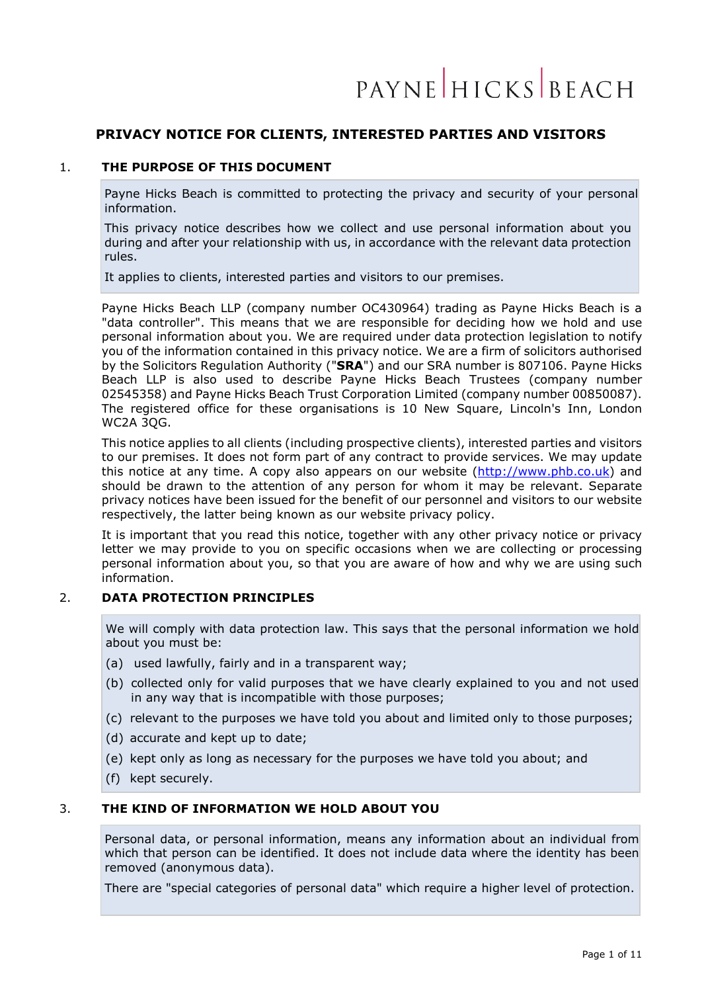# **PRIVACY NOTICE FOR CLIENTS, INTERESTED PARTIES AND VISITORS**

### 1. **THE PURPOSE OF THIS DOCUMENT**

Payne Hicks Beach is committed to protecting the privacy and security of your personal information.

This privacy notice describes how we collect and use personal information about you during and after your relationship with us, in accordance with the relevant data protection rules.

It applies to clients, interested parties and visitors to our premises.

Payne Hicks Beach LLP (company number OC430964) trading as Payne Hicks Beach is a "data controller". This means that we are responsible for deciding how we hold and use personal information about you. We are required under data protection legislation to notify you of the information contained in this privacy notice. We are a firm of solicitors authorised by the Solicitors Regulation Authority ("**SRA**") and our SRA number is 807106. Payne Hicks Beach LLP is also used to describe Payne Hicks Beach Trustees (company number 02545358) and Payne Hicks Beach Trust Corporation Limited (company number 00850087). The registered office for these organisations is 10 New Square, Lincoln's Inn, London WC2A 3QG.

This notice applies to all clients (including prospective clients), interested parties and visitors to our premises. It does not form part of any contract to provide services. We may update this notice at any time. A copy also appears on our website [\(http://www.phb.co.uk\)](http://www.phb.co.uk/) and should be drawn to the attention of any person for whom it may be relevant. Separate privacy notices have been issued for the benefit of our personnel and visitors to our website respectively, the latter being known as our website privacy policy.

It is important that you read this notice, together with any other privacy notice or privacy letter we may provide to you on specific occasions when we are collecting or processing personal information about you, so that you are aware of how and why we are using such information.

### 2. **DATA PROTECTION PRINCIPLES**

We will comply with data protection law. This says that the personal information we hold about you must be:

- (a) used lawfully, fairly and in a transparent way;
- (b) collected only for valid purposes that we have clearly explained to you and not used in any way that is incompatible with those purposes;
- (c) relevant to the purposes we have told you about and limited only to those purposes;
- (d) accurate and kept up to date;
- (e) kept only as long as necessary for the purposes we have told you about; and
- (f) kept securely.

## 3. **THE KIND OF INFORMATION WE HOLD ABOUT YOU**

Personal data, or personal information, means any information about an individual from which that person can be identified. It does not include data where the identity has been removed (anonymous data).

There are "special categories of personal data" which require a higher level of protection.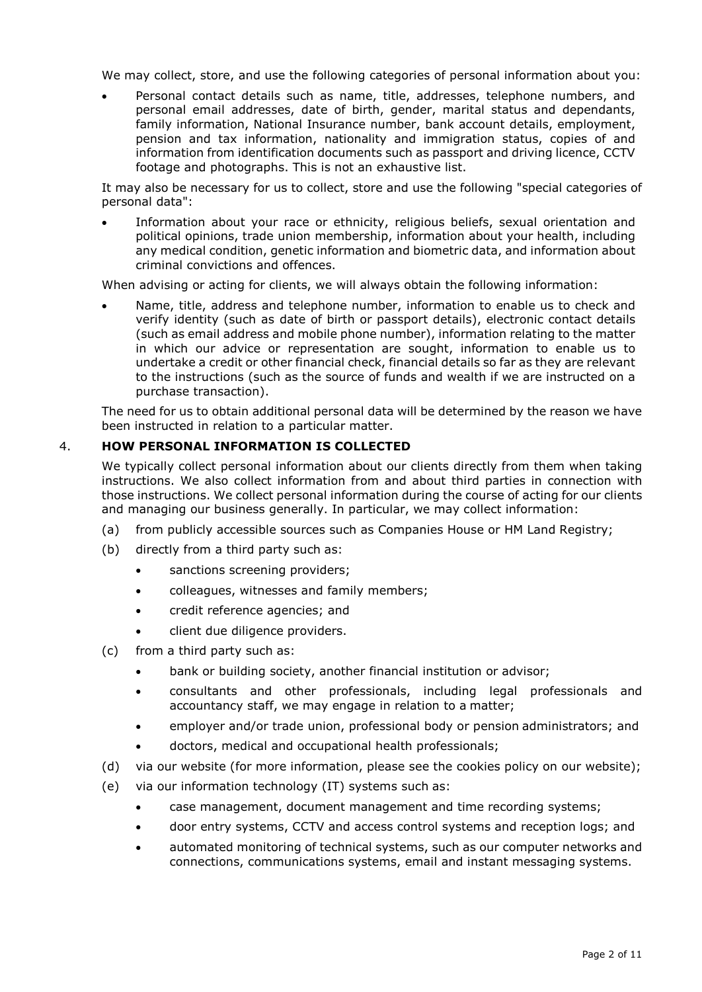We may collect, store, and use the following categories of personal information about you:

• Personal contact details such as name, title, addresses, telephone numbers, and personal email addresses, date of birth, gender, marital status and dependants, family information, National Insurance number, bank account details, employment, pension and tax information, nationality and immigration status, copies of and information from identification documents such as passport and driving licence, CCTV footage and photographs. This is not an exhaustive list.

It may also be necessary for us to collect, store and use the following "special categories of personal data":

• Information about your race or ethnicity, religious beliefs, sexual orientation and political opinions, trade union membership, information about your health, including any medical condition, genetic information and biometric data, and information about criminal convictions and offences.

When advising or acting for clients, we will always obtain the following information:

• Name, title, address and telephone number, information to enable us to check and verify identity (such as date of birth or passport details), electronic contact details (such as email address and mobile phone number), information relating to the matter in which our advice or representation are sought, information to enable us to undertake a credit or other financial check, financial details so far as they are relevant to the instructions (such as the source of funds and wealth if we are instructed on a purchase transaction).

The need for us to obtain additional personal data will be determined by the reason we have been instructed in relation to a particular matter.

# 4. **HOW PERSONAL INFORMATION IS COLLECTED**

We typically collect personal information about our clients directly from them when taking instructions. We also collect information from and about third parties in connection with those instructions. We collect personal information during the course of acting for our clients and managing our business generally. In particular, we may collect information:

- (a) from publicly accessible sources such as Companies House or HM Land Registry;
- (b) directly from a third party such as:
	- sanctions screening providers;
	- colleagues, witnesses and family members;
	- credit reference agencies; and
	- client due diligence providers.
- (c) from a third party such as:
	- bank or building society, another financial institution or advisor;
	- consultants and other professionals, including legal professionals and accountancy staff, we may engage in relation to a matter;
	- employer and/or trade union, professional body or pension administrators; and
	- doctors, medical and occupational health professionals;
- (d) via our website (for more information, please see the cookies policy on our website);
- (e) via our information technology (IT) systems such as:
	- case management, document management and time recording systems;
	- door entry systems, CCTV and access control systems and reception logs; and
	- automated monitoring of technical systems, such as our computer networks and connections, communications systems, email and instant messaging systems.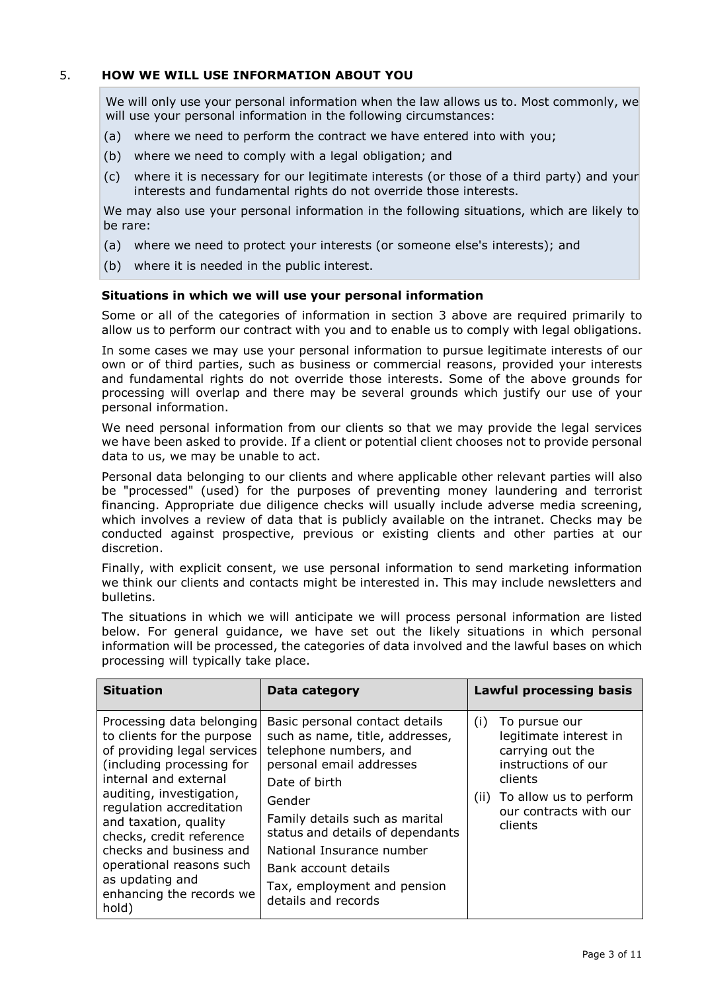# 5. **HOW WE WILL USE INFORMATION ABOUT YOU**

We will only use your personal information when the law allows us to. Most commonly, we will use your personal information in the following circumstances:

- (a) where we need to perform the contract we have entered into with you;
- (b) where we need to comply with a legal obligation; and
- (c) where it is necessary for our legitimate interests (or those of a third party) and your interests and fundamental rights do not override those interests.

We may also use your personal information in the following situations, which are likely to be rare:

- (a) where we need to protect your interests (or someone else's interests); and
- (b) where it is needed in the public interest.

#### **Situations in which we will use your personal information**

Some or all of the categories of information in section 3 above are required primarily to allow us to perform our contract with you and to enable us to comply with legal obligations.

In some cases we may use your personal information to pursue legitimate interests of our own or of third parties, such as business or commercial reasons, provided your interests and fundamental rights do not override those interests. Some of the above grounds for processing will overlap and there may be several grounds which justify our use of your personal information.

We need personal information from our clients so that we may provide the legal services we have been asked to provide. If a client or potential client chooses not to provide personal data to us, we may be unable to act.

Personal data belonging to our clients and where applicable other relevant parties will also be "processed" (used) for the purposes of preventing money laundering and terrorist financing. Appropriate due diligence checks will usually include adverse media screening, which involves a review of data that is publicly available on the intranet. Checks may be conducted against prospective, previous or existing clients and other parties at our discretion.

Finally, with explicit consent, we use personal information to send marketing information we think our clients and contacts might be interested in. This may include newsletters and bulletins.

The situations in which we will anticipate we will process personal information are listed below. For general guidance, we have set out the likely situations in which personal information will be processed, the categories of data involved and the lawful bases on which processing will typically take place.

| <b>Situation</b>                                                                                                                                                                                                                                                                                                                                                         | Data category                                                                                                                                                                                                                                                                                                                       | <b>Lawful processing basis</b>                                                                                                                                              |
|--------------------------------------------------------------------------------------------------------------------------------------------------------------------------------------------------------------------------------------------------------------------------------------------------------------------------------------------------------------------------|-------------------------------------------------------------------------------------------------------------------------------------------------------------------------------------------------------------------------------------------------------------------------------------------------------------------------------------|-----------------------------------------------------------------------------------------------------------------------------------------------------------------------------|
| Processing data belonging<br>to clients for the purpose<br>of providing legal services<br>(including processing for<br>internal and external<br>auditing, investigation,<br>regulation accreditation<br>and taxation, quality<br>checks, credit reference<br>checks and business and<br>operational reasons such<br>as updating and<br>enhancing the records we<br>hold) | Basic personal contact details<br>such as name, title, addresses,<br>telephone numbers, and<br>personal email addresses<br>Date of birth<br>Gender<br>Family details such as marital<br>status and details of dependants<br>National Insurance number<br>Bank account details<br>Tax, employment and pension<br>details and records | To pursue our<br>(i)<br>legitimate interest in<br>carrying out the<br>instructions of our<br>clients<br>To allow us to perform<br>(ii)<br>our contracts with our<br>clients |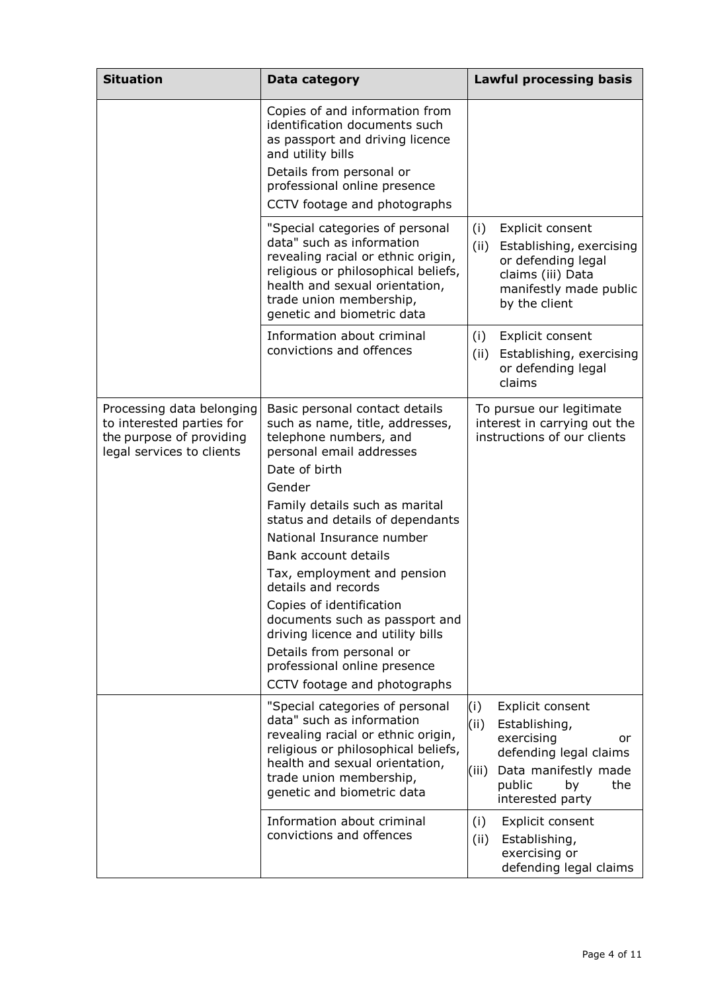| <b>Situation</b>                                                                                                | Data category                                                                                                                                                                                                                                                                                                                                                                                                                                                                                                                      | <b>Lawful processing basis</b>                                                                                                                                             |
|-----------------------------------------------------------------------------------------------------------------|------------------------------------------------------------------------------------------------------------------------------------------------------------------------------------------------------------------------------------------------------------------------------------------------------------------------------------------------------------------------------------------------------------------------------------------------------------------------------------------------------------------------------------|----------------------------------------------------------------------------------------------------------------------------------------------------------------------------|
|                                                                                                                 | Copies of and information from<br>identification documents such<br>as passport and driving licence<br>and utility bills<br>Details from personal or<br>professional online presence<br>CCTV footage and photographs                                                                                                                                                                                                                                                                                                                |                                                                                                                                                                            |
|                                                                                                                 | "Special categories of personal<br>data" such as information<br>revealing racial or ethnic origin,<br>religious or philosophical beliefs,<br>health and sexual orientation,<br>trade union membership,<br>genetic and biometric data                                                                                                                                                                                                                                                                                               | (i)<br>Explicit consent<br>(ii)<br>Establishing, exercising<br>or defending legal<br>claims (iii) Data<br>manifestly made public<br>by the client                          |
|                                                                                                                 | Information about criminal<br>convictions and offences                                                                                                                                                                                                                                                                                                                                                                                                                                                                             | Explicit consent<br>(i)<br>(ii)<br>Establishing, exercising<br>or defending legal<br>claims                                                                                |
| Processing data belonging<br>to interested parties for<br>the purpose of providing<br>legal services to clients | Basic personal contact details<br>such as name, title, addresses,<br>telephone numbers, and<br>personal email addresses<br>Date of birth<br>Gender<br>Family details such as marital<br>status and details of dependants<br>National Insurance number<br>Bank account details<br>Tax, employment and pension<br>details and records<br>Copies of identification<br>documents such as passport and<br>driving licence and utility bills<br>Details from personal or<br>professional online presence<br>CCTV footage and photographs | To pursue our legitimate<br>interest in carrying out the<br>instructions of our clients                                                                                    |
|                                                                                                                 | "Special categories of personal<br>data" such as information<br>revealing racial or ethnic origin,<br>religious or philosophical beliefs,<br>health and sexual orientation,<br>trade union membership,<br>genetic and biometric data                                                                                                                                                                                                                                                                                               | (i)<br>Explicit consent<br>(ii)<br>Establishing,<br>exercising<br>or<br>defending legal claims<br>Data manifestly made<br>(iii)<br>public<br>the<br>by<br>interested party |
|                                                                                                                 | Information about criminal<br>convictions and offences                                                                                                                                                                                                                                                                                                                                                                                                                                                                             | (i)<br>Explicit consent<br>(ii)<br>Establishing,<br>exercising or<br>defending legal claims                                                                                |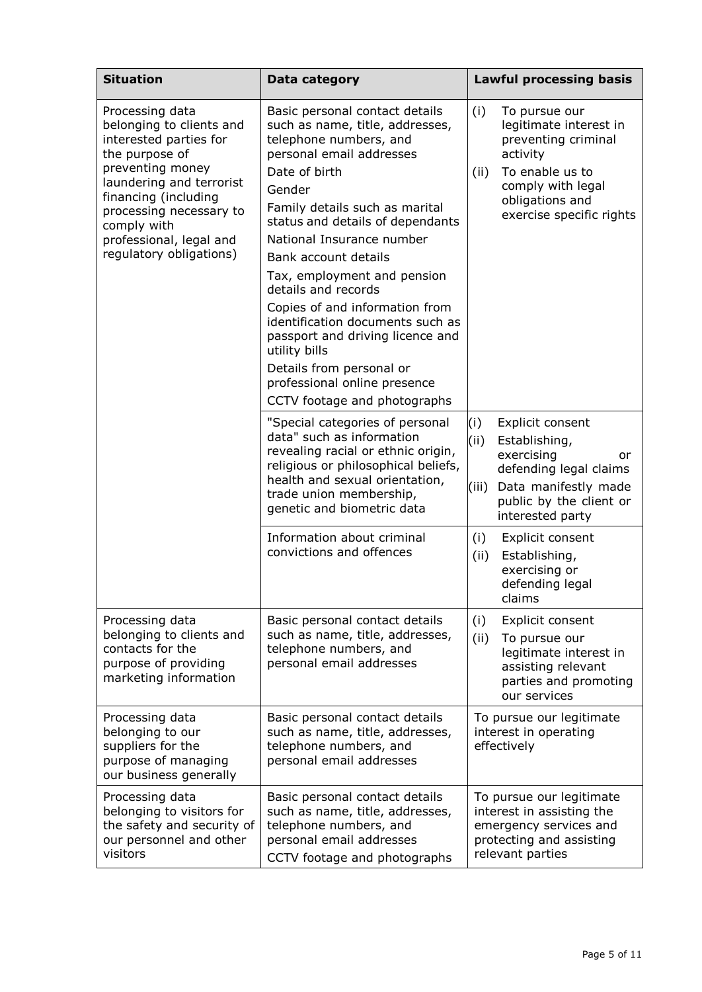| <b>Situation</b>                                                                                                                                                                                                                                                | Data category                                                                                                                                                                                                                                                                                                                                                                                                                                                                                                                                              |                                                                  | <b>Lawful processing basis</b>                                                                                                                                    |  |
|-----------------------------------------------------------------------------------------------------------------------------------------------------------------------------------------------------------------------------------------------------------------|------------------------------------------------------------------------------------------------------------------------------------------------------------------------------------------------------------------------------------------------------------------------------------------------------------------------------------------------------------------------------------------------------------------------------------------------------------------------------------------------------------------------------------------------------------|------------------------------------------------------------------|-------------------------------------------------------------------------------------------------------------------------------------------------------------------|--|
| Processing data<br>belonging to clients and<br>interested parties for<br>the purpose of<br>preventing money<br>laundering and terrorist<br>financing (including<br>processing necessary to<br>comply with<br>professional, legal and<br>regulatory obligations) | Basic personal contact details<br>such as name, title, addresses,<br>telephone numbers, and<br>personal email addresses<br>Date of birth<br>Gender<br>Family details such as marital<br>status and details of dependants<br>National Insurance number<br>Bank account details<br>Tax, employment and pension<br>details and records<br>Copies of and information from<br>identification documents such as<br>passport and driving licence and<br>utility bills<br>Details from personal or<br>professional online presence<br>CCTV footage and photographs | (i)<br>(ii)                                                      | To pursue our<br>legitimate interest in<br>preventing criminal<br>activity<br>To enable us to<br>comply with legal<br>obligations and<br>exercise specific rights |  |
|                                                                                                                                                                                                                                                                 | "Special categories of personal<br>data" such as information<br>revealing racial or ethnic origin,<br>religious or philosophical beliefs,<br>health and sexual orientation,<br>trade union membership,<br>genetic and biometric data                                                                                                                                                                                                                                                                                                                       | (i)<br>(ii)<br>(iii)                                             | Explicit consent<br>Establishing,<br>exercising<br>or<br>defending legal claims<br>Data manifestly made<br>public by the client or<br>interested party            |  |
|                                                                                                                                                                                                                                                                 | Information about criminal<br>convictions and offences                                                                                                                                                                                                                                                                                                                                                                                                                                                                                                     | (i)<br>(ii)                                                      | Explicit consent<br>Establishing,<br>exercising or<br>defending legal<br>claims                                                                                   |  |
| Processing data<br>belonging to clients and<br>contacts for the<br>purpose of providing<br>marketing information                                                                                                                                                | Basic personal contact details<br>such as name, title, addresses,<br>telephone numbers, and<br>personal email addresses                                                                                                                                                                                                                                                                                                                                                                                                                                    | (i)<br>(ii)                                                      | Explicit consent<br>To pursue our<br>legitimate interest in<br>assisting relevant<br>parties and promoting<br>our services                                        |  |
| Processing data<br>belonging to our<br>suppliers for the<br>purpose of managing<br>our business generally                                                                                                                                                       | Basic personal contact details<br>such as name, title, addresses,<br>telephone numbers, and<br>personal email addresses                                                                                                                                                                                                                                                                                                                                                                                                                                    | To pursue our legitimate<br>interest in operating<br>effectively |                                                                                                                                                                   |  |
| Processing data<br>belonging to visitors for<br>the safety and security of<br>our personnel and other<br>visitors                                                                                                                                               | Basic personal contact details<br>such as name, title, addresses,<br>telephone numbers, and<br>personal email addresses<br>CCTV footage and photographs                                                                                                                                                                                                                                                                                                                                                                                                    |                                                                  | To pursue our legitimate<br>interest in assisting the<br>emergency services and<br>protecting and assisting<br>relevant parties                                   |  |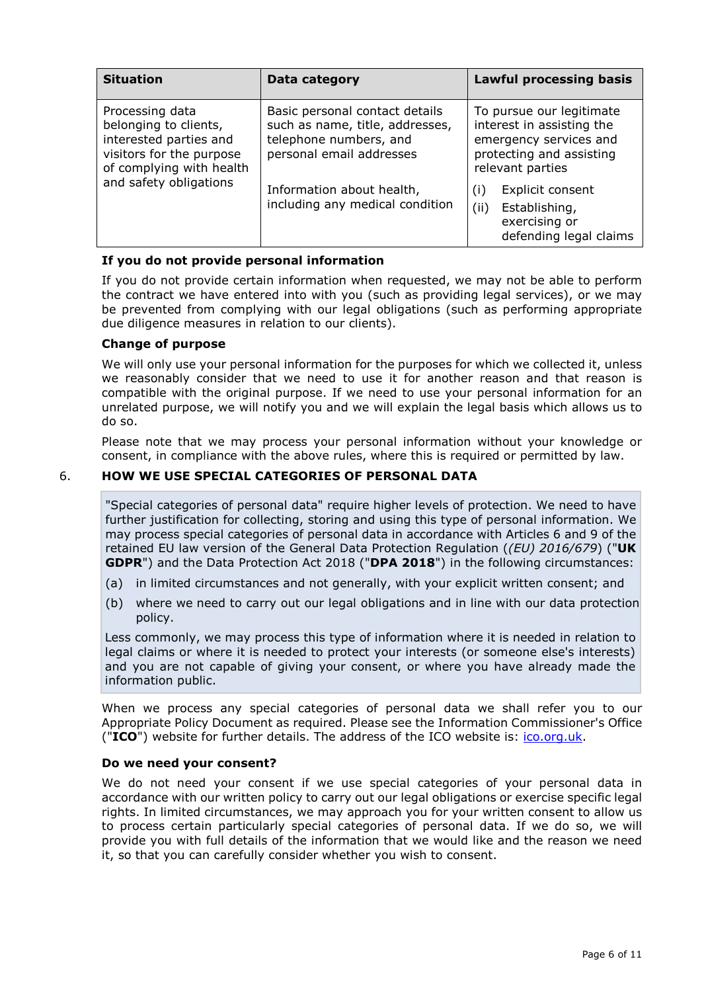| <b>Situation</b>                                                                                                                                     | Data category                                                                                                           | <b>Lawful processing basis</b>                                                                                                  |  |
|------------------------------------------------------------------------------------------------------------------------------------------------------|-------------------------------------------------------------------------------------------------------------------------|---------------------------------------------------------------------------------------------------------------------------------|--|
| Processing data<br>belonging to clients,<br>interested parties and<br>visitors for the purpose<br>of complying with health<br>and safety obligations | Basic personal contact details<br>such as name, title, addresses,<br>telephone numbers, and<br>personal email addresses | To pursue our legitimate<br>interest in assisting the<br>emergency services and<br>protecting and assisting<br>relevant parties |  |
|                                                                                                                                                      | Information about health,<br>including any medical condition                                                            | Explicit consent<br>(i)<br>(ii)<br>Establishing,<br>exercising or<br>defending legal claims                                     |  |

### **If you do not provide personal information**

If you do not provide certain information when requested, we may not be able to perform the contract we have entered into with you (such as providing legal services), or we may be prevented from complying with our legal obligations (such as performing appropriate due diligence measures in relation to our clients).

### **Change of purpose**

We will only use your personal information for the purposes for which we collected it, unless we reasonably consider that we need to use it for another reason and that reason is compatible with the original purpose. If we need to use your personal information for an unrelated purpose, we will notify you and we will explain the legal basis which allows us to do so.

Please note that we may process your personal information without your knowledge or consent, in compliance with the above rules, where this is required or permitted by law.

### 6. **HOW WE USE SPECIAL CATEGORIES OF PERSONAL DATA**

"Special categories of personal data" require higher levels of protection. We need to have further justification for collecting, storing and using this type of personal information. We may process special categories of personal data in accordance with Articles 6 and 9 of the retained EU law version of the General Data Protection Regulation (*(EU) 2016/679*) ("**UK GDPR**") and the Data Protection Act 2018 ("**DPA 2018**") in the following circumstances:

- (a) in limited circumstances and not generally, with your explicit written consent; and
- (b) where we need to carry out our legal obligations and in line with our data protection policy.

Less commonly, we may process this type of information where it is needed in relation to legal claims or where it is needed to protect your interests (or someone else's interests) and you are not capable of giving your consent, or where you have already made the information public.

When we process any special categories of personal data we shall refer you to our Appropriate Policy Document as required. Please see the Information Commissioner's Office ("**ICO**") website for further details. The address of the ICO website is: [ico.org.uk.](http://www.ico.org.uk/)

### **Do we need your consent?**

We do not need your consent if we use special categories of your personal data in accordance with our written policy to carry out our legal obligations or exercise specific legal rights. In limited circumstances, we may approach you for your written consent to allow us to process certain particularly special categories of personal data. If we do so, we will provide you with full details of the information that we would like and the reason we need it, so that you can carefully consider whether you wish to consent.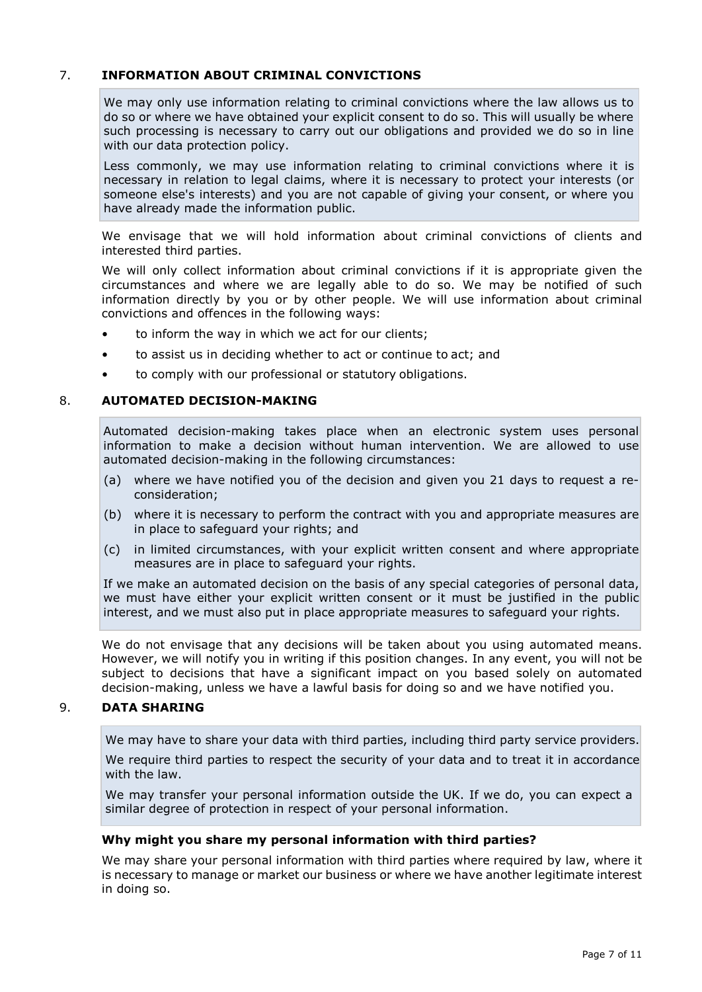# 7. **INFORMATION ABOUT CRIMINAL CONVICTIONS**

We may only use information relating to criminal convictions where the law allows us to do so or where we have obtained your explicit consent to do so. This will usually be where such processing is necessary to carry out our obligations and provided we do so in line with our data protection policy.

Less commonly, we may use information relating to criminal convictions where it is necessary in relation to legal claims, where it is necessary to protect your interests (or someone else's interests) and you are not capable of giving your consent, or where you have already made the information public.

We envisage that we will hold information about criminal convictions of clients and interested third parties.

We will only collect information about criminal convictions if it is appropriate given the circumstances and where we are legally able to do so. We may be notified of such information directly by you or by other people. We will use information about criminal convictions and offences in the following ways:

- to inform the way in which we act for our clients;
- to assist us in deciding whether to act or continue to act; and
- to comply with our professional or statutory obligations.

#### 8. **AUTOMATED DECISION-MAKING**

Automated decision-making takes place when an electronic system uses personal information to make a decision without human intervention. We are allowed to use automated decision-making in the following circumstances:

- (a) where we have notified you of the decision and given you 21 days to request a reconsideration;
- (b) where it is necessary to perform the contract with you and appropriate measures are in place to safeguard your rights; and
- (c) in limited circumstances, with your explicit written consent and where appropriate measures are in place to safeguard your rights.

If we make an automated decision on the basis of any special categories of personal data, we must have either your explicit written consent or it must be justified in the public interest, and we must also put in place appropriate measures to safeguard your rights.

We do not envisage that any decisions will be taken about you using automated means. However, we will notify you in writing if this position changes. In any event, you will not be subject to decisions that have a significant impact on you based solely on automated decision-making, unless we have a lawful basis for doing so and we have notified you.

### 9. **DATA SHARING**

We may have to share your data with third parties, including third party service providers.

We require third parties to respect the security of your data and to treat it in accordance with the law.

We may transfer your personal information outside the UK. If we do, you can expect a similar degree of protection in respect of your personal information.

#### **Why might you share my personal information with third parties?**

We may share your personal information with third parties where required by law, where it is necessary to manage or market our business or where we have another legitimate interest in doing so.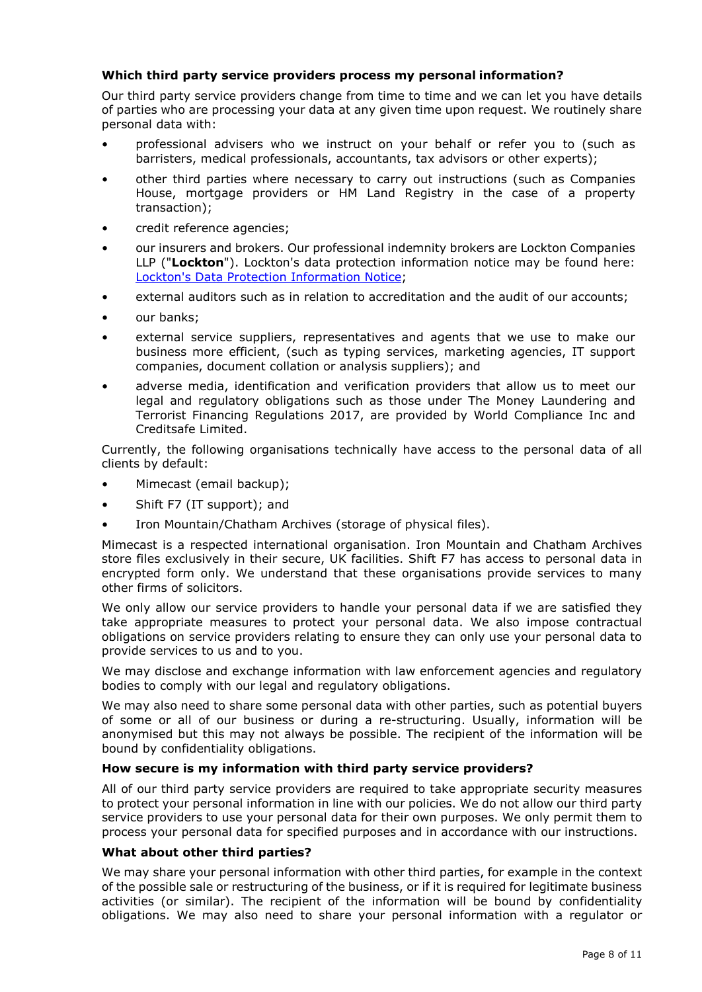## **Which third party service providers process my personal information?**

Our third party service providers change from time to time and we can let you have details of parties who are processing your data at any given time upon request. We routinely share personal data with:

- professional advisers who we instruct on your behalf or refer you to (such as barristers, medical professionals, accountants, tax advisors or other experts);
- other third parties where necessary to carry out instructions (such as Companies House, mortgage providers or HM Land Registry in the case of a property transaction);
- credit reference agencies;
- our insurers and brokers. Our professional indemnity brokers are Lockton Companies LLP ("**Lockton**"). Lockton's data protection information notice may be found here: [Lockton's Data Protection Information](http://phb.uk/Documents/LocktonDataProtection.pdf) Notice;
- external auditors such as in relation to accreditation and the audit of our accounts;
- our banks;
- external service suppliers, representatives and agents that we use to make our business more efficient, (such as typing services, marketing agencies, IT support companies, document collation or analysis suppliers); and
- adverse media, identification and verification providers that allow us to meet our legal and regulatory obligations such as those under The Money Laundering and Terrorist Financing Regulations 2017, are provided by World Compliance Inc and Creditsafe Limited.

Currently, the following organisations technically have access to the personal data of all clients by default:

- Mimecast (email backup);
- Shift F7 (IT support); and
- Iron Mountain/Chatham Archives (storage of physical files).

Mimecast is a respected international organisation. Iron Mountain and Chatham Archives store files exclusively in their secure, UK facilities. Shift F7 has access to personal data in encrypted form only. We understand that these organisations provide services to many other firms of solicitors.

We only allow our service providers to handle your personal data if we are satisfied they take appropriate measures to protect your personal data. We also impose contractual obligations on service providers relating to ensure they can only use your personal data to provide services to us and to you.

We may disclose and exchange information with law enforcement agencies and regulatory bodies to comply with our legal and regulatory obligations.

We may also need to share some personal data with other parties, such as potential buyers of some or all of our business or during a re-structuring. Usually, information will be anonymised but this may not always be possible. The recipient of the information will be bound by confidentiality obligations.

### **How secure is my information with third party service providers?**

All of our third party service providers are required to take appropriate security measures to protect your personal information in line with our policies. We do not allow our third party service providers to use your personal data for their own purposes. We only permit them to process your personal data for specified purposes and in accordance with our instructions.

### **What about other third parties?**

We may share your personal information with other third parties, for example in the context of the possible sale or restructuring of the business, or if it is required for legitimate business activities (or similar). The recipient of the information will be bound by confidentiality obligations. We may also need to share your personal information with a regulator or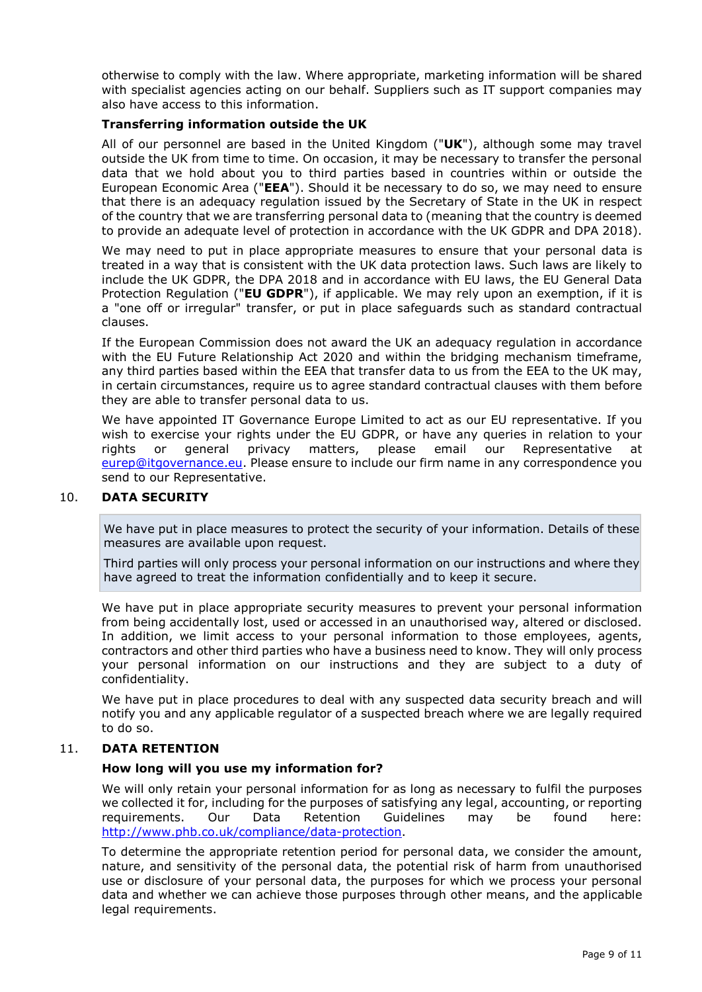otherwise to comply with the law. Where appropriate, marketing information will be shared with specialist agencies acting on our behalf. Suppliers such as IT support companies may also have access to this information.

### **Transferring information outside the UK**

All of our personnel are based in the United Kingdom ("**UK**"), although some may travel outside the UK from time to time. On occasion, it may be necessary to transfer the personal data that we hold about you to third parties based in countries within or outside the European Economic Area ("**EEA**"). Should it be necessary to do so, we may need to ensure that there is an adequacy regulation issued by the Secretary of State in the UK in respect of the country that we are transferring personal data to (meaning that the country is deemed to provide an adequate level of protection in accordance with the UK GDPR and DPA 2018).

We may need to put in place appropriate measures to ensure that your personal data is treated in a way that is consistent with the UK data protection laws. Such laws are likely to include the UK GDPR, the DPA 2018 and in accordance with EU laws, the EU General Data Protection Regulation ("**EU GDPR**"), if applicable. We may rely upon an exemption, if it is a "one off or irregular" transfer, or put in place safeguards such as standard contractual clauses.

If the European Commission does not award the UK an adequacy regulation in accordance with the EU Future Relationship Act 2020 and within the bridging mechanism timeframe, any third parties based within the EEA that transfer data to us from the EEA to the UK may, in certain circumstances, require us to agree standard contractual clauses with them before they are able to transfer personal data to us.

We have appointed IT Governance Europe Limited to act as our EU representative. If you wish to exercise your rights under the EU GDPR, or have any queries in relation to your rights or general privacy matters, please email our Representative at [eurep@itgovernance.eu.](mailto:eurep@itgovernance.eu) Please ensure to include our firm name in any correspondence you send to our Representative.

## 10. **DATA SECURITY**

We have put in place measures to protect the security of your information. Details of these measures are available upon request.

Third parties will only process your personal information on our instructions and where they have agreed to treat the information confidentially and to keep it secure.

We have put in place appropriate security measures to prevent your personal information from being accidentally lost, used or accessed in an unauthorised way, altered or disclosed. In addition, we limit access to your personal information to those employees, agents, contractors and other third parties who have a business need to know. They will only process your personal information on our instructions and they are subject to a duty of confidentiality.

We have put in place procedures to deal with any suspected data security breach and will notify you and any applicable regulator of a suspected breach where we are legally required to do so.

### 11. **DATA RETENTION**

### **How long will you use my information for?**

We will only retain your personal information for as long as necessary to fulfil the purposes we collected it for, including for the purposes of satisfying any legal, accounting, or reporting<br>
requirements. Our Data Retention Guidelines may be found here: requirements. Our Data Retention Guidelines may be found here: [http://www.phb.co.uk/compliance/data-protection.](http://www.phb.co.uk/compliance/data-protection)

To determine the appropriate retention period for personal data, we consider the amount, nature, and sensitivity of the personal data, the potential risk of harm from unauthorised use or disclosure of your personal data, the purposes for which we process your personal data and whether we can achieve those purposes through other means, and the applicable legal requirements.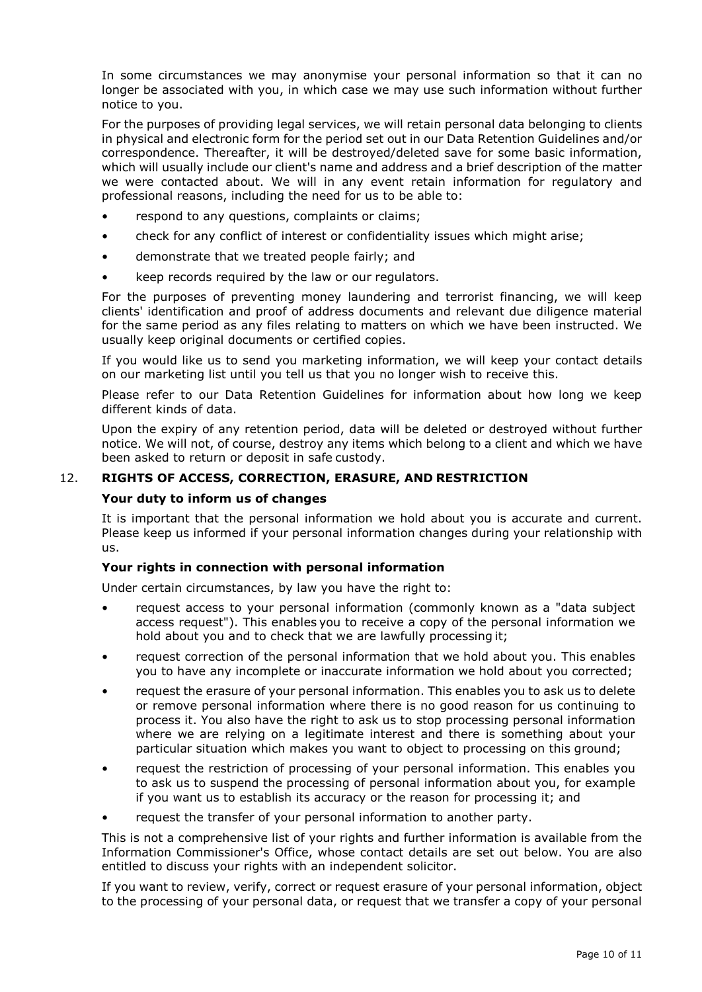In some circumstances we may anonymise your personal information so that it can no longer be associated with you, in which case we may use such information without further notice to you.

For the purposes of providing legal services, we will retain personal data belonging to clients in physical and electronic form for the period set out in our Data Retention Guidelines and/or correspondence. Thereafter, it will be destroyed/deleted save for some basic information, which will usually include our client's name and address and a brief description of the matter we were contacted about. We will in any event retain information for regulatory and professional reasons, including the need for us to be able to:

- respond to any questions, complaints or claims;
- check for any conflict of interest or confidentiality issues which might arise;
- demonstrate that we treated people fairly; and
- keep records required by the law or our regulators.

For the purposes of preventing money laundering and terrorist financing, we will keep clients' identification and proof of address documents and relevant due diligence material for the same period as any files relating to matters on which we have been instructed. We usually keep original documents or certified copies.

If you would like us to send you marketing information, we will keep your contact details on our marketing list until you tell us that you no longer wish to receive this.

Please refer to our Data Retention Guidelines for information about how long we keep different kinds of data.

Upon the expiry of any retention period, data will be deleted or destroyed without further notice. We will not, of course, destroy any items which belong to a client and which we have been asked to return or deposit in safe custody.

### 12. **RIGHTS OF ACCESS, CORRECTION, ERASURE, AND RESTRICTION**

#### **Your duty to inform us of changes**

It is important that the personal information we hold about you is accurate and current. Please keep us informed if your personal information changes during your relationship with us.

### **Your rights in connection with personal information**

Under certain circumstances, by law you have the right to:

- request access to your personal information (commonly known as a "data subject access request"). This enables you to receive a copy of the personal information we hold about you and to check that we are lawfully processing it;
- request correction of the personal information that we hold about you. This enables you to have any incomplete or inaccurate information we hold about you corrected;
- request the erasure of your personal information. This enables you to ask us to delete or remove personal information where there is no good reason for us continuing to process it. You also have the right to ask us to stop processing personal information where we are relying on a legitimate interest and there is something about your particular situation which makes you want to object to processing on this ground;
- request the restriction of processing of your personal information. This enables you to ask us to suspend the processing of personal information about you, for example if you want us to establish its accuracy or the reason for processing it; and
- request the transfer of your personal information to another party.

This is not a comprehensive list of your rights and further information is available from the Information Commissioner's Office, whose contact details are set out below. You are also entitled to discuss your rights with an independent solicitor.

If you want to review, verify, correct or request erasure of your personal information, object to the processing of your personal data, or request that we transfer a copy of your personal